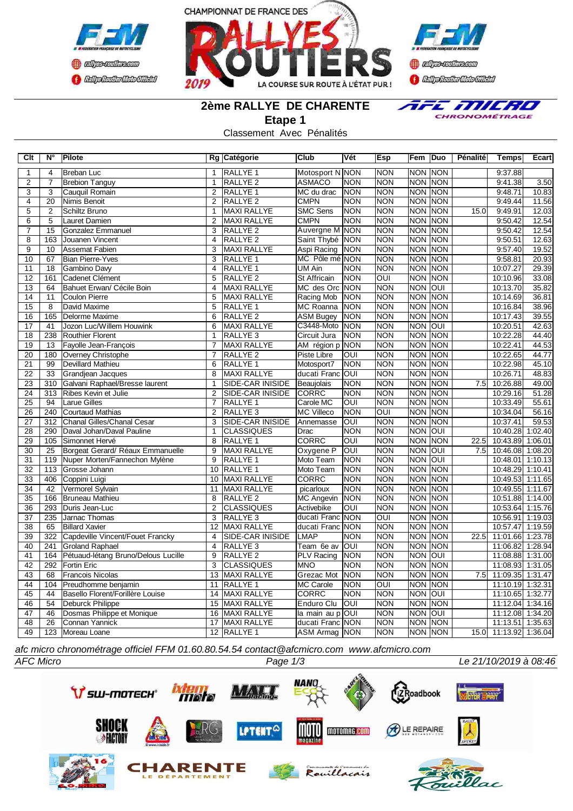





**2ème RALLYE DE CHARENTE**

E MILRO  $\overline{\mathbf{z}}$ CHRONOMÉTRAGE

**Etape 1** Classement Avec Pénalités

| Clt             | $N^{\circ}$     | Pilote                              |                | Rg Catégorie            | <b>Club</b>       | Vét        | Esp                     | Fem        | Duo                   | Pénalité | Temps                 | Ecart   |
|-----------------|-----------------|-------------------------------------|----------------|-------------------------|-------------------|------------|-------------------------|------------|-----------------------|----------|-----------------------|---------|
| 1               | $\overline{4}$  | <b>Breban Luc</b>                   | -1             | RALLYE <sub>1</sub>     | Motosport N NON   |            | <b>NON</b>              | <b>NON</b> | <b>NON</b>            |          | 9:37.88               |         |
| $\overline{2}$  | $\overline{7}$  | <b>Brebion Tanguy</b>               | $\overline{1}$ | <b>RALLYE 2</b>         | <b>ASMACO</b>     | <b>NON</b> | <b>NON</b>              | <b>NON</b> | <b>NON</b>            |          | 9:41.38               | 3.50    |
| 3               | 3               | Cauquil Romain                      | $\overline{2}$ | RALLYE 1                | MC du drac        | <b>NON</b> | <b>NON</b>              | <b>NON</b> | <b>NON</b>            |          | 9:48.71               | 10.83   |
| $\overline{4}$  | 20              | Nimis Benoit                        | $\overline{2}$ | <b>RALLYE 2</b>         | <b>CMPN</b>       | <b>NON</b> | <b>NON</b>              | <b>NON</b> | <b>NON</b>            |          | 9:49.44               | 11.56   |
| 5               | $\overline{2}$  | Schiltz Bruno                       | $\mathbf{1}$   | MAXI RALLYE             | <b>SMC Sens</b>   | <b>NON</b> | <b>NON</b>              | <b>NON</b> | <b>NON</b>            | 15.0     | 9:49.91               | 12.03   |
| 6               | 5               | Lauret Damien                       | $\overline{2}$ | <b>MAXI RALLYE</b>      | <b>CMPN</b>       | <b>NON</b> | <b>NON</b>              | <b>NON</b> | <b>NON</b>            |          | 9:50.42               | 12.54   |
| $\overline{7}$  | 15              | Gonzalez Emmanuel                   | 3              | RALLYE <sub>2</sub>     | Auvergne M NON    |            | <b>NON</b>              | <b>NON</b> | <b>NON</b>            |          | 9:50.42               | 12.54   |
| 8               | 163             | Jouanen Vincent                     | 4              | RALLYE <sub>2</sub>     | Saint Thybé       | <b>NON</b> | <b>NON</b>              | <b>NON</b> | <b>NON</b>            |          | 9:50.51               | 12.63   |
| $\overline{9}$  | 10              | <b>Assemat Fabien</b>               | 3              | <b>MAXI RALLYE</b>      | Aspi Racing       | NON        | <b>NON</b>              | <b>NON</b> | <b>NON</b>            |          | 9:57.40               | 19.52   |
| 10              | 67              | <b>Bian Pierre-Yves</b>             | 3              | <b>RALLYE 1</b>         | MC Pôle mé NON    |            | <b>NON</b>              | <b>NON</b> | NON                   |          | 9:58.81               | 20.93   |
| 11              | $\overline{18}$ | Gambino Davy                        | $\overline{4}$ | RALLYE <sub>1</sub>     | UM Ain            | <b>NON</b> | <b>NON</b>              | <b>NON</b> | <b>NON</b>            |          | 10:07.27              | 29.39   |
| 12              | 161             | Cadenet Clément                     | $\overline{5}$ | RALLYE <sub>2</sub>     | St Affricain      | <b>NON</b> | $\overline{O}$          | <b>NON</b> | <b>NON</b>            |          | 10:10.96              | 33.08   |
| 13              | 64              | Bahuet Erwan/ Cécile Boin           | $\overline{4}$ | <b>MAXI RALLYE</b>      | MC des Orc NON    |            | <b>NON</b>              | <b>NON</b> | $\overline{\text{C}}$ |          | 10:13.70              | 35.82   |
| 14              | 11              | <b>Coulon Pierre</b>                | 5              | <b>MAXI RALLYE</b>      | Racing Mob        | <b>NON</b> | <b>NON</b>              | <b>NON</b> | <b>NON</b>            |          | 10:14.69              | 36.81   |
| 15              | 8               | David Maxime                        | 5              | RALLYE 1                | MC Roanna         | <b>NON</b> | <b>NON</b>              | <b>NON</b> | <b>NON</b>            |          | 10:16.84              | 38.96   |
| 16              | 165             | Delorme Maxime                      | 6              | <b>RALLYE 2</b>         | <b>ASM Bugey</b>  | <b>NON</b> | <b>NON</b>              | <b>NON</b> | <b>NON</b>            |          | 10:17.43              | 39.55   |
| 17              | 41              | Jozon Luc/Willem Houwink            | 6              | MAXI RALLYE             | C3448-Moto        | <b>NON</b> | <b>NON</b>              | <b>NON</b> | OUI                   |          | 10:20.51              | 42.63   |
| 18              | 238             | <b>Routhier Florent</b>             | $\mathbf{1}$   | RALLYE <sub>3</sub>     | Circuit Jura      | <b>NON</b> | <b>NON</b>              | <b>NON</b> | <b>NON</b>            |          | 10:22.28              | 44.40   |
| 19              | 13              | Fayolle Jean-François               | $\overline{7}$ | <b>MAXI RALLYE</b>      | AM région p NON   |            | <b>NON</b>              | <b>NON</b> | <b>NON</b>            |          | 10:22.41              | 44.53   |
| 20              | 180             | Overney Christophe                  | $\overline{7}$ | RALLYE <sub>2</sub>     | Piste Libre       | OUI        | <b>NON</b>              | <b>NON</b> | <b>NON</b>            |          | 10:22.65              | 44.77   |
| 21              | 99              | <b>Devillard Mathieu</b>            | 6              | RALLYE <sub>1</sub>     | Motosport7        | <b>NON</b> | <b>NON</b>              | <b>NON</b> | <b>NON</b>            |          | 10:22.98              | 45.10   |
| $\overline{22}$ | 33              | Grandjean Jacques                   | $\overline{8}$ | <b>MAXI RALLYE</b>      | ducati Franc OUI  |            | <b>NON</b>              | <b>NON</b> | <b>NON</b>            |          | 10:26.71              | 48.83   |
| 23              | 310             | Galvani Raphael/Bresse laurent      | $\overline{1}$ | <b>SIDE-CAR INISIDE</b> | Beaujolais        | <b>NON</b> | <b>NON</b>              | <b>NON</b> | <b>NON</b>            | 7.5      | 10:26.88              | 49.00   |
| $\overline{24}$ | 313             | Ribes Kevin et Julie                | $\overline{2}$ | <b>SIDE-CAR INISIDE</b> | <b>CORRC</b>      | <b>NON</b> | <b>NON</b>              | <b>NON</b> | <b>NON</b>            |          | 10:29.16              | 51.28   |
| 25              | $\overline{94}$ | <b>Larue Gilles</b>                 | $\overline{7}$ | RALLYE <sub>1</sub>     | Carole MC         | loui       | <b>NON</b>              | <b>NON</b> | <b>NON</b>            |          | 10:33.49              | 55.61   |
| 26              | 240             | <b>Courtaud Mathias</b>             | 2              | RALLYE <sub>3</sub>     | <b>MC Villeco</b> | <b>NON</b> | $\overline{\text{OUI}}$ | <b>NON</b> | <b>NON</b>            |          | 10:34.04              | 56.16   |
| 27              | 312             | Chanal Gilles/Chanal Cesar          | 3              | SIDE-CAR INISIDE        | Annemasse         | OUI        | <b>NON</b>              | <b>NON</b> | <b>NON</b>            |          | 10:37.41              | 59.53   |
| $\overline{28}$ | 290             | Daval Johan/Daval Pauline           | $\mathbf{1}$   | <b>CLASSIQUES</b>       | Drac              | <b>NON</b> | <b>NON</b>              | <b>NON</b> | <b>OUI</b>            |          | 10:40.28              | 1:02.40 |
| 29              | 105             | Simonnet Hervé                      | 8              | RALLYE <sub>1</sub>     | CORRC             | OUI        | <b>NON</b>              | <b>NON</b> | <b>NON</b>            | 22.5     | 10:43.89 1:06.01      |         |
| 30              | 25              | Borgeat Gerard/ Réaux Emmanuelle    | 9              | <b>MAXI RALLYE</b>      | Oxygene P         | OUI        | <b>NON</b>              | <b>NON</b> | loui                  | 7.5      | 10:46.08 1:08.20      |         |
| 31              | 119             | Nuper Morten/Fannechon Mylène       | 9              | RALLYE <sub>1</sub>     | Moto Team         | <b>NON</b> | <b>NON</b>              | <b>NON</b> | OUI                   |          | 10:48.01              | 1:10.13 |
| $\overline{32}$ | 113             | Grosse Johann                       | 10             | RALLYE <sub>1</sub>     | Moto Team         | <b>NON</b> | <b>NON</b>              | <b>NON</b> | <b>NON</b>            |          | 10:48.29              | 1:10.41 |
| $\overline{33}$ | 406             | Coppini Luigi                       | 10             | <b>MAXI RALLYE</b>      | <b>CORRC</b>      | <b>NON</b> | <b>NON</b>              | <b>NON</b> | <b>NON</b>            |          | 10:49.53              | 1:11.65 |
| $\overline{34}$ | 42              | Vermorel Sylvain                    | 11             | MAXI RALLYE             | picarloux         | NON        | <b>NON</b>              | <b>NON</b> | <b>NON</b>            |          | 10:49.55              | 1:11.67 |
| 35              | 166             | <b>Bruneau Mathieu</b>              | 8              | RALLYE <sub>2</sub>     | MC Angevin        | <b>NON</b> | <b>NON</b>              | <b>NON</b> | <b>NON</b>            |          | 10:51.88              | 1:14.00 |
| 36              | 293             | Duris Jean-Luc                      | $\overline{2}$ | <b>CLASSIQUES</b>       | Activebike        | OUI        | <b>NON</b>              | <b>NON</b> | <b>NON</b>            |          | 10:53.64              | 1:15.76 |
| 37              | 235             | Jarnac Thomas                       | 3              | RALLYE <sub>3</sub>     | ducati Franc NON  |            | OUI                     | <b>NON</b> | <b>NON</b>            |          | 10:56.91              | 1:19.03 |
| $\overline{38}$ | 65              | <b>Billard Xavier</b>               | 12             | MAXI RALLYE             | ducati Franc NON  |            | <b>NON</b>              | <b>NON</b> | <b>NON</b>            |          | 10:57.47 1:19.59      |         |
| 39              | 322             | Capdeville Vincent/Fouet Francky    | $\overline{4}$ | SIDE-CAR INISIDE        | <b>LMAP</b>       | <b>NON</b> | <b>NON</b>              | <b>NON</b> | <b>NON</b>            | 22.5     | 11:01.66 1:23.78      |         |
| 40              | 241             | <b>Groland Raphael</b>              | 4              | RALLYE <sub>3</sub>     | Team 6e av        | <b>OUI</b> | <b>NON</b>              | <b>NON</b> | <b>NON</b>            |          | 11:06.82              | 1:28.94 |
| 41              | 164             | Pétuaud-létang Bruno/Delous Lucille | 9              | RALLYE <sub>2</sub>     | PLV Racing        | <b>NON</b> | <b>NON</b>              | <b>NON</b> | <b>OUI</b>            |          | 11:08.88              | 1:31.00 |
| 42              | 292             | <b>Fortin Eric</b>                  | 3              | <b>CLASSIQUES</b>       | <b>MNO</b>        | <b>NON</b> | <b>NON</b>              | <b>NON</b> | <b>NON</b>            |          | 11:08.93              | 1:31.05 |
| 43              | 68              | <b>Francois Nicolas</b>             | 13             | MAXI RALLYE             | Grezac Mot        | <b>NON</b> | <b>NON</b>              | <b>NON</b> | <b>NON</b>            | 7.5      | 11:09.35 1:31.47      |         |
| 44              | 104             | Preudhomme benjamin                 | 11             | RALLYE <sub>1</sub>     | <b>MC Carole</b>  | <b>NON</b> | $\overline{\text{OUI}}$ | <b>NON</b> | <b>NON</b>            |          | 11:10.19 1:32.31      |         |
| $\overline{45}$ | 44              | Basello Florent/Forillère Louise    | 14             | MAXI RALLYE             | <b>CORRC</b>      | <b>NON</b> | <b>NON</b>              | <b>NON</b> | <b>OUI</b>            |          | 11:10.65 1:32.77      |         |
| 46              | $\overline{54}$ | <b>Deburck Philippe</b>             | 15             | MAXI RALLYE             | Enduro Clu        | loui       | <b>NON</b>              | <b>NON</b> | <b>NON</b>            |          | 11:12.04              | 1:34.16 |
| 47              | 46              | Dosmas Philippe et Monique          | 16             | MAXI RALLYE             | la main au p      | loui       | <b>NON</b>              | <b>NON</b> | loui                  |          | 11:12.08              | 1:34.20 |
| 48              | 26              | Connan Yannick                      | 17             | MAXI RALLYE             | ducati Franc NON  |            | <b>NON</b>              | <b>NON</b> | <b>NON</b>            |          | 11:13.51 1:35.63      |         |
| 49              | 123             | Moreau Loane                        | 12             | RALLYE <sub>1</sub>     | ASM Armag NON     |            | <b>NON</b>              |            | NON NON               |          | 15.0 11:13.92 1:36.04 |         |

*afc micro chronométrage officiel FFM 01.60.80.54.54 contact@afcmicro.com www.afcmicro.com*

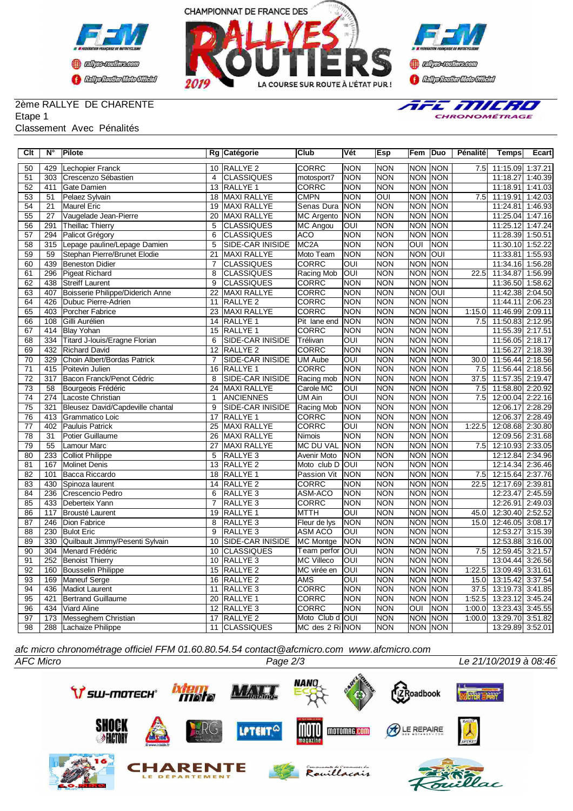





### 2ème RALLYE DE CHARENTE Etape 1

### Classement Avec Pénalités



| $\overline{C}$ It | $\overline{\mathsf{N}^{\circ}}$ | <b>Pilote</b>                    |                 | Rg Catégorie            | Club               | Vét                     | <b>Esp</b>     | Fem        | Duo            | Pénalité         | <b>Temps</b>     | Ecart   |
|-------------------|---------------------------------|----------------------------------|-----------------|-------------------------|--------------------|-------------------------|----------------|------------|----------------|------------------|------------------|---------|
| 50                | 429                             | Lechopier Franck                 |                 | 10 RALLYE 2             | <b>CORRC</b>       | <b>NON</b>              | NON            |            | <b>NON NON</b> | 7.5              | 11:15.09 1:37.21 |         |
| 51                | 303                             | Crescenzo Sébastien              | $\overline{4}$  | <b>CLASSIQUES</b>       | motosport7         | <b>NON</b>              | <b>NON</b>     | <b>NON</b> | NON            |                  | 11:18.27         | 1:40.39 |
| 52                | 411                             | Gate Damien                      | 13              | RALLYE 1                | <b>CORRC</b>       | <b>NON</b>              | <b>NON</b>     | <b>NON</b> | NON            |                  | 11:18.91         | 1:41.03 |
| 53                | 51                              | Pelaez Sylvain                   | 18              | MAXI RALLYE             | <b>CMPN</b>        | <b>NON</b>              | $\overline{O}$ | <b>NON</b> | <b>NON</b>     | 7.5              | 11:19.91         | 1:42.03 |
| 54                | 21                              | <b>Maurel Eric</b>               | 19              | <b>MAXI RALLYE</b>      | Senas Dura         | <b>NON</b>              | <b>NON</b>     | <b>NON</b> | <b>NON</b>     |                  | 11:24.81         | 1:46.93 |
| $\overline{55}$   | 27                              | Vaugelade Jean-Pierre            | 20              | <b>MAXI RALLYE</b>      | <b>MC</b> Argento  | <b>NON</b>              | <b>NON</b>     | <b>NON</b> | <b>NON</b>     |                  | 11:25.04 1:47.16 |         |
| 56                | 291                             | <b>Theillac Thierry</b>          | 5               | <b>CLASSIQUES</b>       | <b>MC Angou</b>    | OUI                     | <b>NON</b>     | <b>NON</b> | <b>NON</b>     |                  | 11:25.12         | 1:47.24 |
| 57                | 294                             | Palicot Grégory                  | 6               | <b>CLASSIQUES</b>       | <b>ACO</b>         | <b>NON</b>              | <b>NON</b>     | <b>NON</b> | <b>NON</b>     |                  | 11:28.39 1:50.51 |         |
| 58                | 315                             | Lepage pauline/Lepage Damien     | 5               | <b>SIDE-CAR INISIDE</b> | MC <sub>2</sub> A  | <b>NON</b>              | <b>NON</b>     | l          | <b>NON</b>     |                  | 11:30.10 1:52.22 |         |
| 59                | 59                              | Stephan Pierre/Brunet Elodie     | $\overline{21}$ | <b>MAXI RALLYE</b>      | Moto Team          | <b>NON</b>              | NON            | <b>NON</b> | <b>OUI</b>     |                  | 11:33.81         | 1:55.93 |
| 60                | 439                             | <b>Beneston Didier</b>           | $\overline{7}$  | <b>CLASSIQUES</b>       | <b>CORRC</b>       | $\overline{\text{OUI}}$ | NON            | <b>NON</b> | NON            |                  | 11:34.16 1:56.28 |         |
| 61                | 296                             | <b>Pigeat Richard</b>            | 8               | <b>CLASSIQUES</b>       | Racing Mob         | OUI                     | <b>NON</b>     | <b>NON</b> | NON            | 22.5             | 11:34.87         | 1:56.99 |
| 62                | 438                             | <b>Streiff Laurent</b>           | 9               | <b>CLASSIQUES</b>       | <b>CORRC</b>       | <b>NON</b>              | <b>NON</b>     | <b>NON</b> | <b>NON</b>     |                  | 11:36.50         | 1:58.62 |
| 63                | 407                             | Boisserie Philippe/Diderich Anne | 22              | <b>MAXI RALLYE</b>      | CORRC              | <b>NON</b>              | <b>NON</b>     | <b>NON</b> | OUI            |                  | 11:42.38         | 2:04.50 |
| 64                | 426                             | Dubuc Pierre-Adrien              | 11              | RALLYE <sub>2</sub>     | <b>CORRC</b>       | <b>NON</b>              | <b>NON</b>     | <b>NON</b> | <b>NON</b>     |                  | 11:44.11         | 2:06.23 |
| 65                | 403                             | Porcher Fabrice                  | 23              | <b>MAXI RALLYE</b>      | CORRC              | <b>NON</b>              | <b>NON</b>     | <b>NON</b> | <b>NON</b>     | 1:15.0           | 11:46.99         | 2:09.11 |
| 66                | 108                             | Gilli Aurélien                   | 14              | RALLYE 1                | Pit lane end       | <b>NON</b>              | <b>NON</b>     | <b>NON</b> | <b>NON</b>     | 7.5              | 11:50.83         | 2:12.95 |
| 67                | 414                             | <b>Blay Yohan</b>                | 15              | RALLYE 1                | CORRC              | <b>NON</b>              | <b>NON</b>     | <b>NON</b> | <b>NON</b>     |                  | 11:55.39 2:17.51 |         |
| 68                | 334                             | Titard J-Iouis/Eragne Florian    | 6               | <b>SIDE-CAR INISIDE</b> | Trélivan           | $\overline{\text{OUI}}$ | <b>NON</b>     | <b>NON</b> | <b>NON</b>     |                  | 11:56.05         | 2:18.17 |
| 69                | 432                             | <b>Richard David</b>             | 12              | <b>RALLYE 2</b>         | CORRC              | <b>NON</b>              | <b>NON</b>     | <b>NON</b> | <b>NON</b>     |                  | 11:56.27         | 2:18.39 |
| $\overline{70}$   | 329                             | Choin Albert/Bordas Patrick      | $\overline{7}$  | <b>SIDE-CAR INISIDE</b> | <b>UM Aube</b>     | OUI                     | <b>NON</b>     | <b>NON</b> | <b>NON</b>     | 30.0             | 11:56.44         | 2:18.56 |
| $\overline{71}$   | 415                             | Poitevin Julien                  | 16              | <b>RALLYE 1</b>         | <b>CORRC</b>       | <b>NON</b>              | <b>NON</b>     | <b>NON</b> | <b>NON</b>     | 7.5              | 11:56.44 2:18.56 |         |
| $\overline{72}$   | $\overline{317}$                | Bacon Franck/Penot Cédric        | 8               | <b>SIDE-CAR INISIDE</b> | Racing mob         | <b>NON</b>              | <b>NON</b>     | <b>NON</b> | <b>NON</b>     | 37.5             | 11:57.35 2:19.47 |         |
| 73                | 58                              | Bourgeois Frédéric               | 24              | <b>MAXI RALLYE</b>      | Carole MC          | OUI                     | <b>NON</b>     | <b>NON</b> | <b>NON</b>     | 7.5              | 11:58.80 2:20.92 |         |
| 74                | 274                             | Lacoste Christian                | $\mathbf{1}$    | <b>ANCIENNES</b>        | UM Ain             | $\overline{\text{OUI}}$ | <b>NON</b>     | <b>NON</b> | <b>NON</b>     | 7.5              | 12:00.04 2:22.16 |         |
| 75                | 321                             | Bleusez David/Capdeville chantal | 9               | SIDE-CAR INISIDE        | Racing Mob         | <b>NON</b>              | <b>NON</b>     | <b>NON</b> | <b>NON</b>     |                  | 12:06.17         | 2:28.29 |
| 76                | 413                             | Grammatico Loic                  | 17              | RALLYE <sub>1</sub>     | CORRC              | <b>NON</b>              | <b>NON</b>     | <b>NON</b> | <b>NON</b>     |                  | 12:06.37         | 2:28.49 |
| 77                | 402                             | <b>Pauluis Patrick</b>           | 25              | <b>MAXI RALLYE</b>      | CORRC              | OUI                     | <b>NON</b>     | <b>NON</b> | <b>NON</b>     | 1:22.5           | 12:08.68 2:30.80 |         |
| 78                | $\overline{31}$                 | <b>Potier Guillaume</b>          | 26              | <b>MAXI RALLYE</b>      | Nimois             | $\overline{NON}$        | <b>NON</b>     | <b>NON</b> | <b>NON</b>     |                  | 12:09.56         | 2:31.68 |
| 79                | 55                              | Lamour Marc                      | 27              | <b>MAXI RALLYE</b>      | <b>MC DU VAL</b>   | <b>NON</b>              | <b>NON</b>     | <b>NON</b> | <b>NON</b>     | 7.5              | 12:10.93 2:33.05 |         |
| 80                | 233                             | <b>Colliot Philippe</b>          | 5               | RALLYE <sub>3</sub>     | <b>Avenir Moto</b> | <b>NON</b>              | <b>NON</b>     | <b>NON</b> | <b>NON</b>     |                  | 12:12.84         | 2:34.96 |
| 81                | 167                             | <b>Molinet Denis</b>             | 13              | RALLYE <sub>2</sub>     | Moto club D        | <b>OUI</b>              | NON            | <b>NON</b> | NON            |                  | 12:14.34         | 2:36.46 |
| 82                | 101                             | Bacca Riccardo                   | 18              | RALLYE 1                | Passion Vit        | <b>NON</b>              | <b>NON</b>     | <b>NON</b> | <b>NON</b>     | 7.5              | 12:15.64         | 2:37.76 |
| 83                | 430                             | Spinoza laurent                  | 14              | RALLYE <sub>2</sub>     | CORRC              | <b>NON</b>              | <b>NON</b>     | <b>NON</b> | <b>NON</b>     | 22.5             | 12:17.69         | 2:39.81 |
| 84                | 236                             | Crescencio Pedro                 | 6               | RALLYE <sub>3</sub>     | ASM-ACO            | <b>NON</b>              | <b>NON</b>     | <b>NON</b> | <b>NON</b>     |                  | 12:23.47         | 2:45.59 |
| 85                | 433                             | Deberteix Yann                   | $\overline{7}$  | RALLYE <sub>3</sub>     | CORRC              | <b>NON</b>              | <b>NON</b>     | <b>NON</b> | <b>NON</b>     |                  | 12:26.91         | 2:49.03 |
| 86                | 117                             | Brousté Laurent                  | 19              | RALLYE <sub>1</sub>     | MTTH               | OUI                     | <b>NON</b>     | <b>NON</b> | <b>NON</b>     | 45.0             | 12:30.40         | 2:52.52 |
| 87                | 246                             | Dion Fabrice                     | 8               | RALLYE <sub>3</sub>     | Fleur de lys       | <b>NON</b>              | <b>NON</b>     | <b>NON</b> | <b>NON</b>     | 15.0             | 12:46.05         | 3:08.17 |
| 88                | 230                             | <b>Bulot Eric</b>                | 9               | RALLYE <sub>3</sub>     | ASM ACO            | OUI                     | NON            | <b>NON</b> | <b>NON</b>     |                  | 12:53.27         | 3:15.39 |
| 89                | 330                             | Quilbault Jimmy/Pesenti Sylvain  | 10              | SIDE-CAR INISIDE        | <b>MC Montge</b>   | <b>NON</b>              | <b>NON</b>     | <b>NON</b> | <b>NON</b>     |                  | 12:53.88         | 3:16.00 |
| $\overline{90}$   | 304                             | Menard Frédéric                  | 10              | <b>CLASSIQUES</b>       | Team perfor        | OUI                     | <b>NON</b>     | <b>NON</b> | <b>NON</b>     | $\overline{7.5}$ | 12:59.45         | 3:21.57 |
| $\overline{91}$   | 252                             | <b>Benoist Thierry</b>           | 10              | RALLYE <sub>3</sub>     | <b>MC Villeco</b>  | $\overline{\text{OUI}}$ | <b>NON</b>     | <b>NON</b> | <b>NON</b>     |                  | 13:04.44         | 3:26.56 |
| $\overline{92}$   | 160                             | <b>Bousselin Philippe</b>        | 15              | RALLYE <sub>2</sub>     | MC virée en        | OUI                     | <b>NON</b>     | <b>NON</b> | <b>NON</b>     | 1:22.5           | 13:09.49         | 3:31.61 |
| 93                | 169                             | Maneuf Serge                     | 16              | RALLYE <sub>2</sub>     | <b>AMS</b>         | OUI                     | <b>NON</b>     | <b>NON</b> | <b>NON</b>     | 15.0             | 13:15.42         | 3:37.54 |
| 94                | 436                             | <b>Madiot Laurent</b>            | 11              | RALLYE <sub>3</sub>     | CORRC              | <b>NON</b>              | <b>NON</b>     | <b>NON</b> | <b>NON</b>     | 37.5             | 13:19.73         | 3:41.85 |
| 95                | 421                             | <b>Bertrand Guillaume</b>        | 20              | RALLYE <sub>1</sub>     | <b>CORRC</b>       | <b>NON</b>              | <b>NON</b>     | <b>NON</b> | <b>NON</b>     | 1:52.5           | 13:23.12         | 3:45.24 |
| 96                | 434                             | Viard Aline                      | 12              | RALLYE <sub>3</sub>     | CORRC              | <b>NON</b>              | <b>NON</b>     | OUI        | <b>NON</b>     | 1:00.0           | 13:23.43         | 3:45.55 |
| 97                | 173                             | Messeghem Christian              | 17              | RALLYE <sub>2</sub>     | Moto Club d OUI    |                         | <b>NON</b>     | <b>NON</b> | NON            | 1:00.0           | 13:29.70         | 3:51.82 |
| 98                | 288                             | Lachaize Philippe                | 11              | CLASSIQUES              | MC des 2 Ri NON    |                         | NON            |            | NON NON        |                  | 13:29.89 3:52.01 |         |

*afc micro chronométrage officiel FFM 01.60.80.54.54 contact@afcmicro.com www.afcmicro.com*